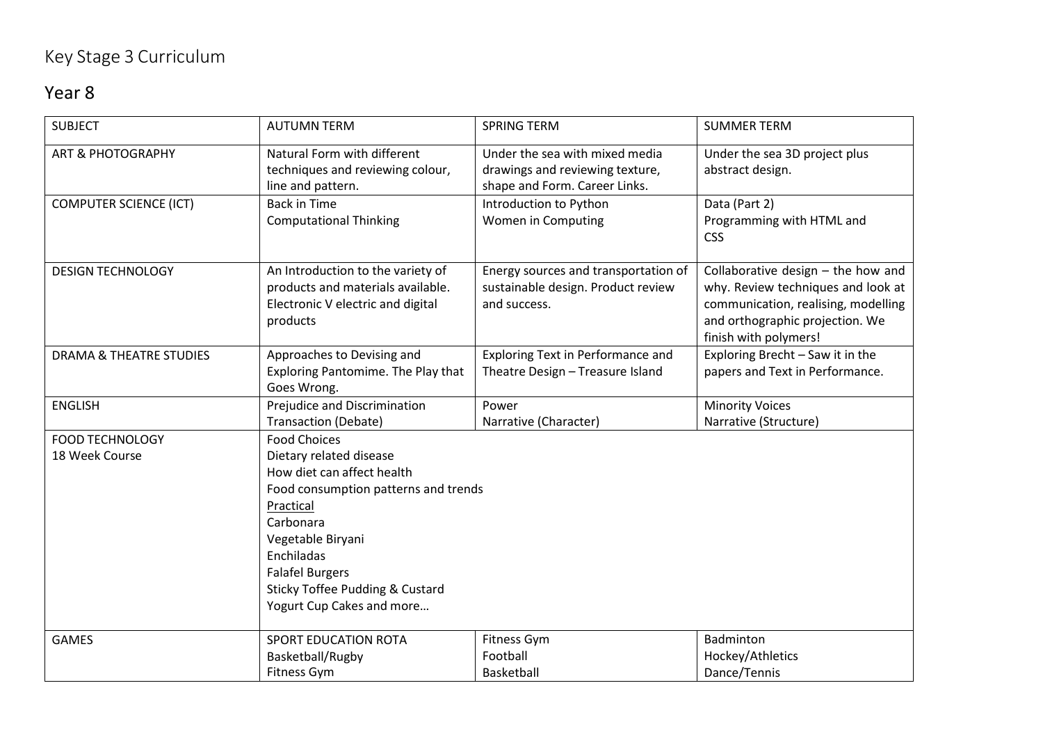## Key Stage 3 Curriculum

## Year 8

| <b>SUBJECT</b>                           | <b>AUTUMN TERM</b>                                                                                                                                                                                                                                                                     | <b>SPRING TERM</b>                                                                                 | <b>SUMMER TERM</b>                                                                                                                                                            |
|------------------------------------------|----------------------------------------------------------------------------------------------------------------------------------------------------------------------------------------------------------------------------------------------------------------------------------------|----------------------------------------------------------------------------------------------------|-------------------------------------------------------------------------------------------------------------------------------------------------------------------------------|
| <b>ART &amp; PHOTOGRAPHY</b>             | Natural Form with different<br>techniques and reviewing colour,<br>line and pattern.                                                                                                                                                                                                   | Under the sea with mixed media<br>drawings and reviewing texture,<br>shape and Form. Career Links. | Under the sea 3D project plus<br>abstract design.                                                                                                                             |
| <b>COMPUTER SCIENCE (ICT)</b>            | <b>Back in Time</b><br><b>Computational Thinking</b>                                                                                                                                                                                                                                   | Introduction to Python<br>Women in Computing                                                       | Data (Part 2)<br>Programming with HTML and<br><b>CSS</b>                                                                                                                      |
| <b>DESIGN TECHNOLOGY</b>                 | An Introduction to the variety of<br>products and materials available.<br>Electronic V electric and digital<br>products                                                                                                                                                                | Energy sources and transportation of<br>sustainable design. Product review<br>and success.         | Collaborative design $-$ the how and<br>why. Review techniques and look at<br>communication, realising, modelling<br>and orthographic projection. We<br>finish with polymers! |
| <b>DRAMA &amp; THEATRE STUDIES</b>       | Approaches to Devising and<br>Exploring Pantomime. The Play that<br>Goes Wrong.                                                                                                                                                                                                        | Exploring Text in Performance and<br>Theatre Design - Treasure Island                              | Exploring Brecht - Saw it in the<br>papers and Text in Performance.                                                                                                           |
| <b>ENGLISH</b>                           | Prejudice and Discrimination<br><b>Transaction (Debate)</b>                                                                                                                                                                                                                            | Power<br>Narrative (Character)                                                                     | <b>Minority Voices</b><br>Narrative (Structure)                                                                                                                               |
| <b>FOOD TECHNOLOGY</b><br>18 Week Course | <b>Food Choices</b><br>Dietary related disease<br>How diet can affect health<br>Food consumption patterns and trends<br>Practical<br>Carbonara<br>Vegetable Biryani<br>Enchiladas<br><b>Falafel Burgers</b><br><b>Sticky Toffee Pudding &amp; Custard</b><br>Yogurt Cup Cakes and more |                                                                                                    |                                                                                                                                                                               |
| <b>GAMES</b>                             | <b>SPORT EDUCATION ROTA</b><br>Basketball/Rugby<br>Fitness Gym                                                                                                                                                                                                                         | Fitness Gym<br>Football<br>Basketball                                                              | Badminton<br>Hockey/Athletics<br>Dance/Tennis                                                                                                                                 |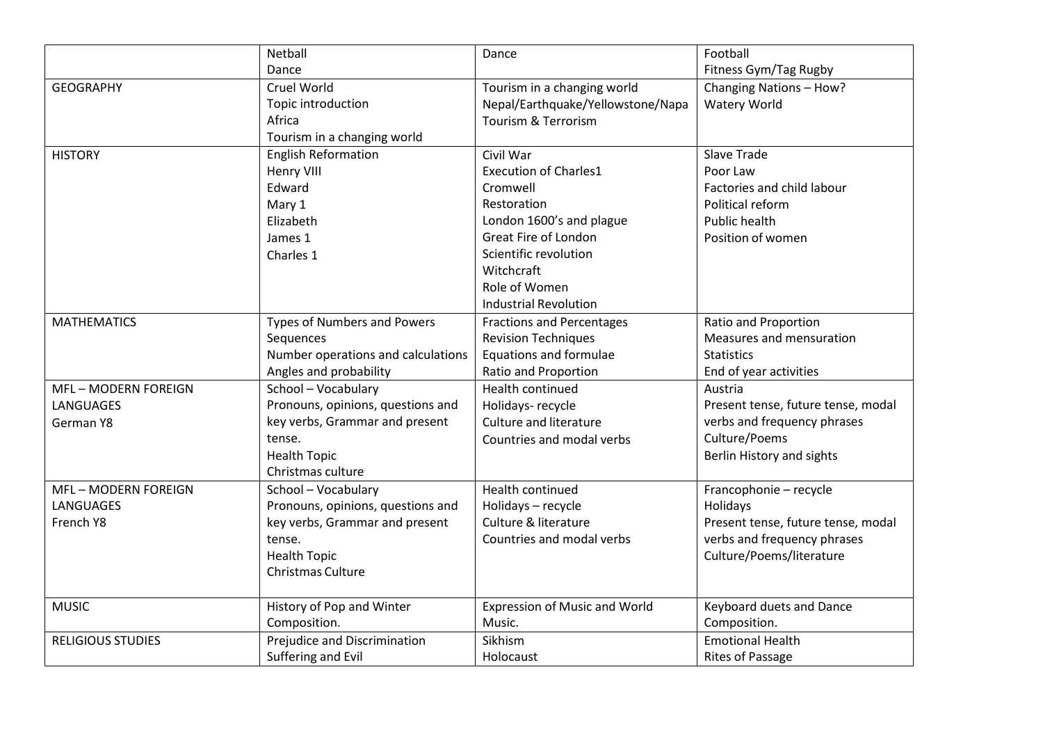|                          | Netball                            | Dance                                | Football                           |
|--------------------------|------------------------------------|--------------------------------------|------------------------------------|
|                          | Dance                              |                                      | Fitness Gym/Tag Rugby              |
| <b>GEOGRAPHY</b>         | Cruel World                        | Tourism in a changing world          | Changing Nations - How?            |
|                          | Topic introduction                 | Nepal/Earthquake/Yellowstone/Napa    | Watery World                       |
|                          | Africa                             | Tourism & Terrorism                  |                                    |
|                          | Tourism in a changing world        |                                      |                                    |
| <b>HISTORY</b>           | <b>English Reformation</b>         | Civil War                            | <b>Slave Trade</b>                 |
|                          | Henry VIII                         | <b>Execution of Charles1</b>         | Poor Law                           |
|                          | Edward                             | Cromwell                             | Factories and child labour         |
|                          | Mary 1                             | Restoration                          | Political reform                   |
|                          | Elizabeth                          | London 1600's and plague             | <b>Public health</b>               |
|                          | James 1                            | Great Fire of London                 | Position of women                  |
|                          | Charles 1                          | Scientific revolution                |                                    |
|                          |                                    | Witchcraft                           |                                    |
|                          |                                    | Role of Women                        |                                    |
|                          |                                    | <b>Industrial Revolution</b>         |                                    |
| <b>MATHEMATICS</b>       | <b>Types of Numbers and Powers</b> | <b>Fractions and Percentages</b>     | Ratio and Proportion               |
|                          | Sequences                          | <b>Revision Techniques</b>           | Measures and mensuration           |
|                          | Number operations and calculations | Equations and formulae               | <b>Statistics</b>                  |
|                          | Angles and probability             | Ratio and Proportion                 | End of year activities             |
| MFL-MODERN FOREIGN       | School - Vocabulary                | <b>Health continued</b>              | Austria                            |
| <b>LANGUAGES</b>         | Pronouns, opinions, questions and  | Holidays- recycle                    | Present tense, future tense, modal |
| German Y8                | key verbs, Grammar and present     | Culture and literature               | verbs and frequency phrases        |
|                          | tense.                             | Countries and modal verbs            | Culture/Poems                      |
|                          | <b>Health Topic</b>                |                                      | Berlin History and sights          |
|                          | Christmas culture                  |                                      |                                    |
| MFL-MODERN FOREIGN       | School - Vocabulary                | <b>Health continued</b>              | Francophonie - recycle             |
| <b>LANGUAGES</b>         | Pronouns, opinions, questions and  | Holidays - recycle                   | Holidays                           |
| French Y8                | key verbs, Grammar and present     | Culture & literature                 | Present tense, future tense, modal |
|                          | tense.                             | Countries and modal verbs            | verbs and frequency phrases        |
|                          | <b>Health Topic</b>                |                                      | Culture/Poems/literature           |
|                          | Christmas Culture                  |                                      |                                    |
| <b>MUSIC</b>             | History of Pop and Winter          | <b>Expression of Music and World</b> | Keyboard duets and Dance           |
|                          | Composition.                       | Music.                               | Composition.                       |
| <b>RELIGIOUS STUDIES</b> | Prejudice and Discrimination       | Sikhism                              | <b>Emotional Health</b>            |
|                          | Suffering and Evil                 | Holocaust                            | <b>Rites of Passage</b>            |